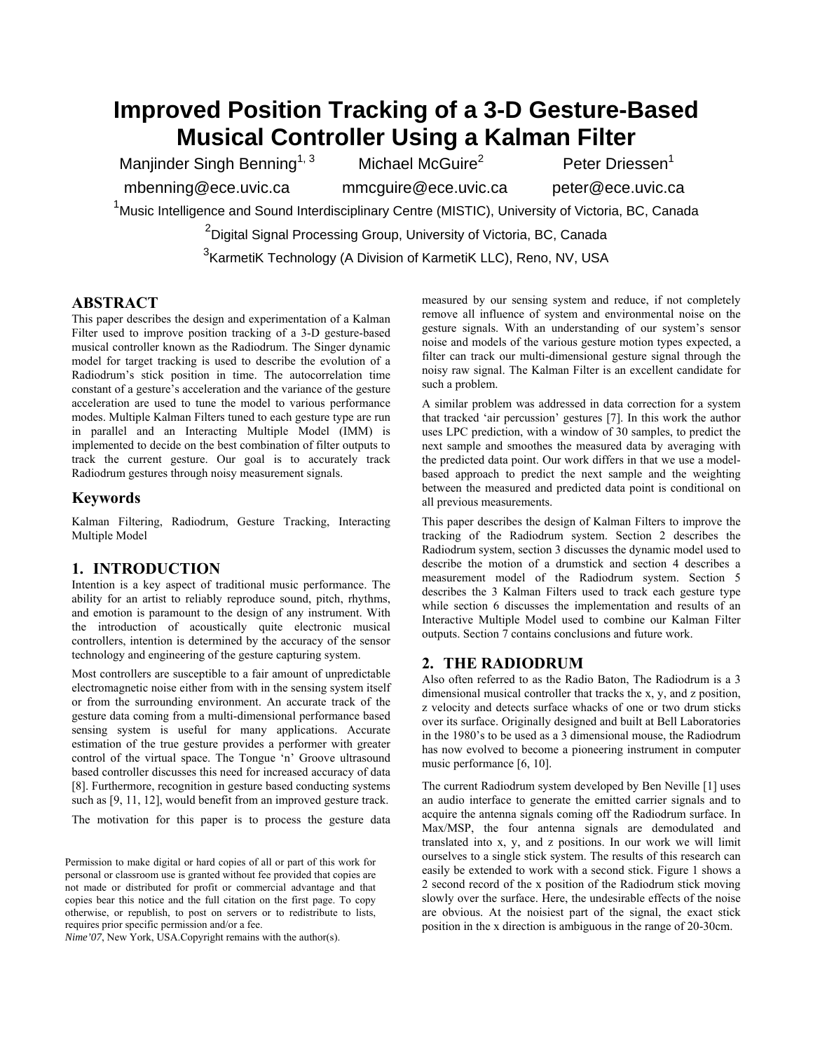# **Improved Position Tracking of a 3-D Gesture-Based Musical Controller Using a Kalman Filter**

Manjinder Singh Benning<sup>1, 3</sup> Michael McGuire<sup>2</sup> Peter Driessen<sup>1</sup>

mbenning@ece.uvic.ca mmcguire@ece.uvic.ca peter@ece.uvic.ca

<sup>1</sup>Music Intelligence and Sound Interdisciplinary Centre (MISTIC), University of Victoria, BC, Canada

 $^{2}$ Digital Signal Processing Group, University of Victoria, BC, Canada

<sup>3</sup> KarmetiK Technology (A Division of KarmetiK LLC), Reno, NV, USA

### **ABSTRACT**

This paper describes the design and experimentation of a Kalman Filter used to improve position tracking of a 3-D gesture-based musical controller known as the Radiodrum. The Singer dynamic model for target tracking is used to describe the evolution of a Radiodrum's stick position in time. The autocorrelation time constant of a gesture's acceleration and the variance of the gesture acceleration are used to tune the model to various performance modes. Multiple Kalman Filters tuned to each gesture type are run in parallel and an Interacting Multiple Model (IMM) is implemented to decide on the best combination of filter outputs to track the current gesture. Our goal is to accurately track Radiodrum gestures through noisy measurement signals.

### **Keywords**

Kalman Filtering, Radiodrum, Gesture Tracking, Interacting Multiple Model

### **1. INTRODUCTION**

Intention is a key aspect of traditional music performance. The ability for an artist to reliably reproduce sound, pitch, rhythms, and emotion is paramount to the design of any instrument. With the introduction of acoustically quite electronic musical controllers, intention is determined by the accuracy of the sensor technology and engineering of the gesture capturing system.

Most controllers are susceptible to a fair amount of unpredictable electromagnetic noise either from with in the sensing system itself or from the surrounding environment. An accurate track of the gesture data coming from a multi-dimensional performance based sensing system is useful for many applications. Accurate estimation of the true gesture provides a performer with greater control of the virtual space. The Tongue 'n' Groove ultrasound based controller discusses this need for increased accuracy of data [8]. Furthermore, recognition in gesture based conducting systems such as [9, 11, 12], would benefit from an improved gesture track.

The motivation for this paper is to process the gesture data

Permission to make digital or hard copies of all or part of this work for personal or classroom use is granted without fee provided that copies are not made or distributed for profit or commercial advantage and that copies bear this notice and the full citation on the first page. To copy otherwise, or republish, to post on servers or to redistribute to lists, requires prior specific permission and/or a fee.

*Nime'07*, New York, USA.Copyright remains with the author(s).

measured by our sensing system and reduce, if not completely remove all influence of system and environmental noise on the gesture signals. With an understanding of our system's sensor noise and models of the various gesture motion types expected, a filter can track our multi-dimensional gesture signal through the noisy raw signal. The Kalman Filter is an excellent candidate for such a problem.

A similar problem was addressed in data correction for a system that tracked 'air percussion' gestures [7]. In this work the author uses LPC prediction, with a window of 30 samples, to predict the next sample and smoothes the measured data by averaging with the predicted data point. Our work differs in that we use a modelbased approach to predict the next sample and the weighting between the measured and predicted data point is conditional on all previous measurements.

This paper describes the design of Kalman Filters to improve the tracking of the Radiodrum system. Section [2](#page-0-0) describes the Radiodrum system, section [3](#page-1-0) discusses the dynamic model used to describe the motion of a drumstick and section [4](#page-1-1) describes a measurement model of the Radiodrum system. Section [5](#page-1-2)  describes the 3 Kalman Filters used to track each gesture type while section [6](#page-2-0) discusses the implementation and results of an Interactive Multiple Model used to combine our Kalman Filter outputs. Section 7 contains conclusions and future work.

### <span id="page-0-0"></span>**2. THE RADIODRUM**

Also often referred to as the Radio Baton, The Radiodrum is a 3 dimensional musical controller that tracks the x, y, and z position, z velocity and detects surface whacks of one or two drum sticks over its surface. Originally designed and built at Bell Laboratories in the 1980's to be used as a 3 dimensional mouse, the Radiodrum has now evolved to become a pioneering instrument in computer music performance [6, 10].

The current Radiodrum system developed by Ben Neville [1] uses an audio interface to generate the emitted carrier signals and to acquire the antenna signals coming off the Radiodrum surface. In Max/MSP, the four antenna signals are demodulated and translated into x, y, and z positions. In our work we will limit ourselves to a single stick system. The results of this research can easily be extended to work with a second stick. [Figure 1](#page-1-3) shows a 2 second record of the x position of the Radiodrum stick moving slowly over the surface. Here, the undesirable effects of the noise are obvious. At the noisiest part of the signal, the exact stick position in the x direction is ambiguous in the range of 20-30cm.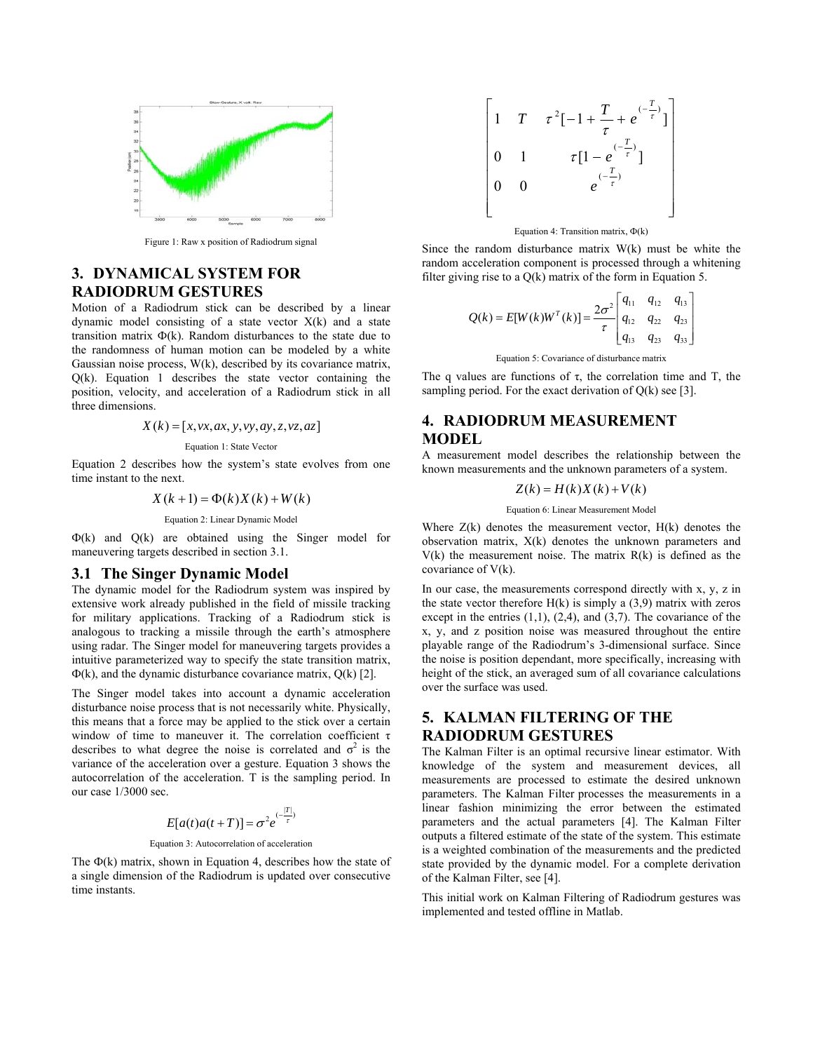<span id="page-1-3"></span>

Figure 1: Raw x position of Radiodrum signal

### <span id="page-1-0"></span>**3. DYNAMICAL SYSTEM FOR RADIODRUM GESTURES**

Motion of a Radiodrum stick can be described by a linear dynamic model consisting of a state vector X(k) and a state transition matrix  $\Phi(k)$ . Random disturbances to the state due to the randomness of human motion can be modeled by a white Gaussian noise process, W(k), described by its covariance matrix, Q(k). [Equation 1](#page-1-4) describes the state vector containing the position, velocity, and acceleration of a Radiodrum stick in all three dimensions.

$$
X(k) = [x, vx, ax, y, vy, ay, z, vz, az]
$$

#### <span id="page-1-4"></span>Equation 1: State Vector

[Equation 2](#page-1-5) describes how the system's state evolves from one time instant to the next.

$$
X(k+1) = \Phi(k)X(k) + W(k)
$$

<span id="page-1-5"></span>Equation 2: Linear Dynamic Model

Ф(k) and Q(k) are obtained using the Singer model for maneuvering targets described in section [3.1.](#page-1-6)

#### <span id="page-1-6"></span>**3.1 The Singer Dynamic Model**

The dynamic model for the Radiodrum system was inspired by extensive work already published in the field of missile tracking for military applications. Tracking of a Radiodrum stick is analogous to tracking a missile through the earth's atmosphere using radar. The Singer model for maneuvering targets provides a intuitive parameterized way to specify the state transition matrix,  $\Phi(k)$ , and the dynamic disturbance covariance matrix,  $Q(k)$  [2].

The Singer model takes into account a dynamic acceleration disturbance noise process that is not necessarily white. Physically, this means that a force may be applied to the stick over a certain window of time to maneuver it. The correlation coefficient  $\tau$ describes to what degree the noise is correlated and  $\sigma^2$  is the variance of the acceleration over a gesture. [Equation 3](#page-1-7) shows the autocorrelation of the acceleration. T is the sampling period. In our case 1/3000 sec.

$$
E[a(t)a(t+T)] = \sigma^2 e^{(-\frac{|T|}{\tau})}
$$

#### <span id="page-1-7"></span>Equation 3: Autocorrelation of acceleration

The  $\Phi(k)$  matrix, shown in [Equation 4,](#page-1-8) describes how the state of a single dimension of the Radiodrum is updated over consecutive time instants.

$$
\begin{bmatrix} 1 & T & \tau^2 [-1 + \frac{T}{\tau} + e^{(-\frac{T}{\tau})}] \\ 0 & 1 & \tau [1 - e^{-\frac{T}{\tau}}] \\ 0 & 0 & e^{(-\frac{T}{\tau})} \end{bmatrix}
$$

<span id="page-1-8"></span>Equation 4: Transition matrix, Ф(k)

Since the random disturbance matrix W(k) must be white the random acceleration component is processed through a whitening filter giving rise to a Q(k) matrix of the form in [Equation 5.](#page-1-9)

$$
Q(k) = E[W(k)W^{T}(k)] = \frac{2\sigma^{2}}{\tau} \begin{bmatrix} q_{11} & q_{12} & q_{13} \\ q_{12} & q_{22} & q_{23} \\ q_{13} & q_{23} & q_{33} \end{bmatrix}
$$

<span id="page-1-9"></span>Equation 5: Covariance of disturbance matrix

The q values are functions of  $\tau$ , the correlation time and T, the sampling period. For the exact derivation of  $Q(k)$  see [3].

## <span id="page-1-1"></span>**4. RADIODRUM MEASUREMENT MODEL**

A measurement model describes the relationship between the known measurements and the unknown parameters of a system.

$$
Z(k) = H(k)X(k) + V(k)
$$

Equation 6: Linear Measurement Model

Where  $Z(k)$  denotes the measurement vector,  $H(k)$  denotes the observation matrix, X(k) denotes the unknown parameters and  $V(k)$  the measurement noise. The matrix  $R(k)$  is defined as the covariance of V(k).

In our case, the measurements correspond directly with x, y, z in the state vector therefore  $H(k)$  is simply a (3,9) matrix with zeros except in the entries  $(1,1)$ ,  $(2,4)$ , and  $(3,7)$ . The covariance of the x, y, and z position noise was measured throughout the entire playable range of the Radiodrum's 3-dimensional surface. Since the noise is position dependant, more specifically, increasing with height of the stick, an averaged sum of all covariance calculations over the surface was used.

# <span id="page-1-2"></span>**5. KALMAN FILTERING OF THE RADIODRUM GESTURES**

The Kalman Filter is an optimal recursive linear estimator. With knowledge of the system and measurement devices, all measurements are processed to estimate the desired unknown parameters. The Kalman Filter processes the measurements in a linear fashion minimizing the error between the estimated parameters and the actual parameters [4]. The Kalman Filter outputs a filtered estimate of the state of the system. This estimate is a weighted combination of the measurements and the predicted state provided by the dynamic model. For a complete derivation of the Kalman Filter, see [4].

This initial work on Kalman Filtering of Radiodrum gestures was implemented and tested offline in Matlab.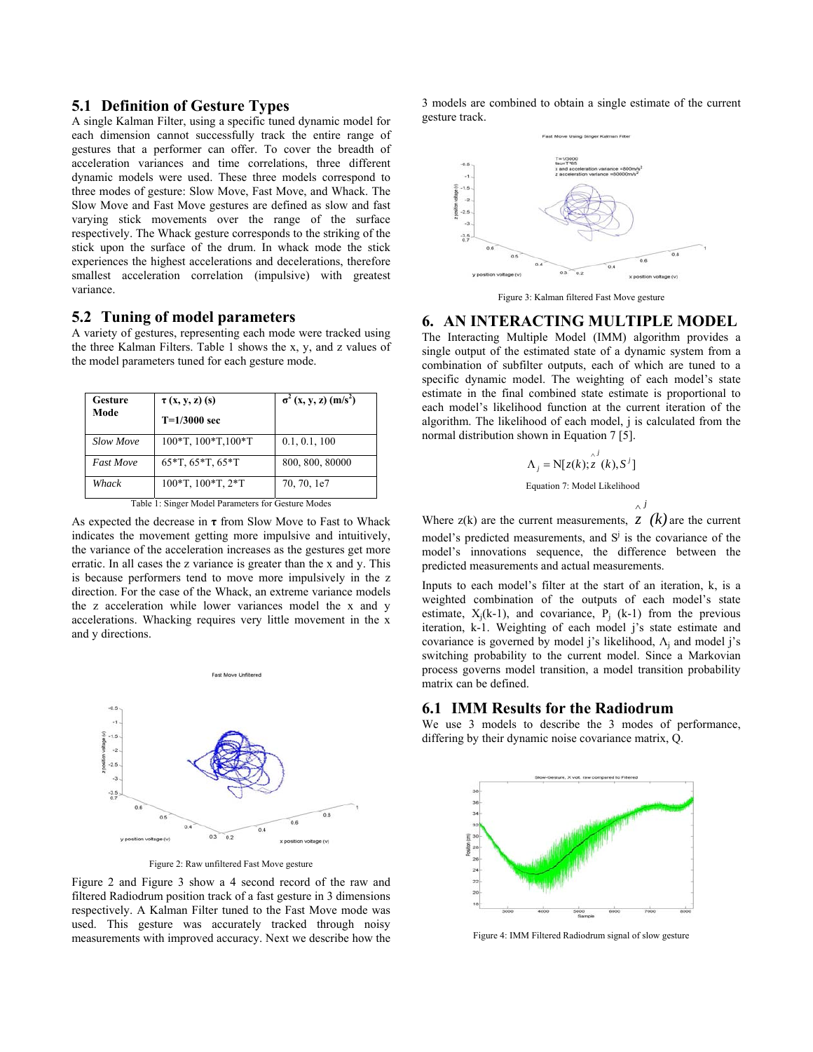### **5.1 Definition of Gesture Types**

A single Kalman Filter, using a specific tuned dynamic model for each dimension cannot successfully track the entire range of gestures that a performer can offer. To cover the breadth of acceleration variances and time correlations, three different dynamic models were used. These three models correspond to three modes of gesture: Slow Move, Fast Move, and Whack. The Slow Move and Fast Move gestures are defined as slow and fast varying stick movements over the range of the surface respectively. The Whack gesture corresponds to the striking of the stick upon the surface of the drum. In whack mode the stick experiences the highest accelerations and decelerations, therefore smallest acceleration correlation (impulsive) with greatest variance.

### **5.2 Tuning of model parameters**

A variety of gestures, representing each mode were tracked using the three Kalman Filters. [Table 1](#page-2-1) shows the x, y, and z values of the model parameters tuned for each gesture mode.

| Gesture                                            | $\tau$ (x, y, z) (s)         | $\sigma^2$ (x, y, z) (m/s <sup>2</sup> ) |
|----------------------------------------------------|------------------------------|------------------------------------------|
| Mode                                               | $T=1/3000$ sec               |                                          |
| <b>Slow Move</b>                                   | $100*$ T, $100*$ T, $100*$ T | 0.1, 0.1, 100                            |
| <b>Fast Move</b>                                   | $65*T, 65*T, 65*T$           | 800, 800, 80000                          |
| Whack                                              | 100*T, 100*T, 2*T            | 70, 70, 1e7                              |
| Table 1: Singer Model Parameters for Gesture Modes |                              |                                          |

<span id="page-2-1"></span>As expected the decrease in **τ** from Slow Move to Fast to Whack indicates the movement getting more impulsive and intuitively, the variance of the acceleration increases as the gestures get more erratic. In all cases the z variance is greater than the x and y. This is because performers tend to move more impulsively in the z direction. For the case of the Whack, an extreme variance models the z acceleration while lower variances model the x and y accelerations. Whacking requires very little movement in the x and y directions.

<span id="page-2-2"></span>

Figure 2: Raw unfiltered Fast Move gesture

[Figure 2](#page-2-2) and [Figure 3](#page-2-3) show a 4 second record of the raw and filtered Radiodrum position track of a fast gesture in 3 dimensions respectively. A Kalman Filter tuned to the Fast Move mode was used. This gesture was accurately tracked through noisy measurements with improved accuracy. Next we describe how the 3 models are combined to obtain a single estimate of the current gesture track.

<span id="page-2-3"></span>

Figure 3: Kalman filtered Fast Move gesture

#### <span id="page-2-0"></span>**6. AN INTERACTING MULTIPLE MODEL**

The Interacting Multiple Model (IMM) algorithm provides a single output of the estimated state of a dynamic system from a combination of subfilter outputs, each of which are tuned to a specific dynamic model. The weighting of each model's state estimate in the final combined state estimate is proportional to each model's likelihood function at the current iteration of the algorithm. The likelihood of each model, j is calculated from the normal distribution shown in [Equation 7](#page-2-4) [5].

<span id="page-2-4"></span>
$$
\Lambda_j = N[z(k); z^{j}
$$
  
Equation 7: Model Likelihood  

$$
\Lambda_j
$$

Where  $z(k)$  are the current measurements,  $z(k)$  are the current model's predicted measurements, and  $S^j$  is the covariance of the model's innovations sequence, the difference between the predicted measurements and actual measurements.

Inputs to each model's filter at the start of an iteration, k, is a weighted combination of the outputs of each model's state estimate,  $X_i(k-1)$ , and covariance,  $P_i$  (k-1) from the previous iteration, k-1. Weighting of each model j's state estimate and covariance is governed by model j's likelihood,  $\Lambda_i$  and model j's switching probability to the current model. Since a Markovian process governs model transition, a model transition probability matrix can be defined.

#### **6.1 IMM Results for the Radiodrum**

We use 3 models to describe the 3 modes of performance, differing by their dynamic noise covariance matrix, Q.

<span id="page-2-5"></span>

Figure 4: IMM Filtered Radiodrum signal of slow gesture